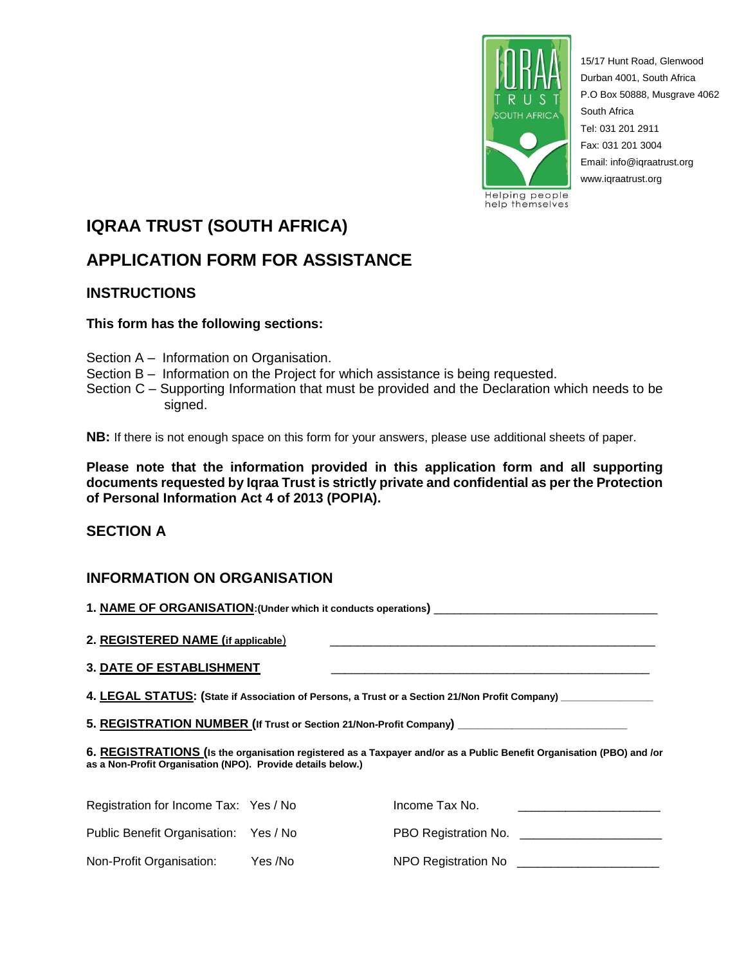

15/17 Hunt Road, Glenwood Durban 4001, South Africa P.O Box 50888, Musgrave 4062 South Africa Tel: 031 201 2911 Fax: 031 201 3004 Email: info@iqraatrust.org www.iqraatrust.org

# **IQRAA TRUST (SOUTH AFRICA)**

# **APPLICATION FORM FOR ASSISTANCE**

## **INSTRUCTIONS**

## **This form has the following sections:**

- Section A Information on Organisation.
- Section B Information on the Project for which assistance is being requested.
- Section C Supporting Information that must be provided and the Declaration which needs to be signed.

**NB:** If there is not enough space on this form for your answers, please use additional sheets of paper.

**Please note that the information provided in this application form and all supporting documents requested by Iqraa Trust is strictly private and confidential as per the Protection of Personal Information Act 4 of 2013 (POPIA).**

## **SECTION A**

## **INFORMATION ON ORGANISATION**

| 2. REGISTERED NAME (if applicable)                                                                                                                                                  |  |                                                                                                                                                                                                                                       |
|-------------------------------------------------------------------------------------------------------------------------------------------------------------------------------------|--|---------------------------------------------------------------------------------------------------------------------------------------------------------------------------------------------------------------------------------------|
| 3. DATE OF ESTABLISHMENT                                                                                                                                                            |  |                                                                                                                                                                                                                                       |
| 4. LEGAL STATUS: (State if Association of Persons, a Trust or a Section 21/Non Profit Company) ______________                                                                       |  |                                                                                                                                                                                                                                       |
| 5. REGISTRATION NUMBER (If Trust or Section 21/Non-Profit Company) _________________________________                                                                                |  |                                                                                                                                                                                                                                       |
| 6. REGISTRATIONS (Is the organisation registered as a Taxpayer and/or as a Public Benefit Organisation (PBO) and /or<br>as a Non-Profit Organisation (NPO). Provide details below.) |  |                                                                                                                                                                                                                                       |
| Registration for Income Tax: Yes / No                                                                                                                                               |  |                                                                                                                                                                                                                                       |
| Public Benefit Organisation: Yes / No                                                                                                                                               |  |                                                                                                                                                                                                                                       |
| Non-Profit Organisation: Yes /No                                                                                                                                                    |  | NPO Registration No<br><u> and a manufacture of</u> the set of the set of the set of the set of the set of the set of the set of the set of the set of the set of the set of the set of the set of the set of the set of the set of t |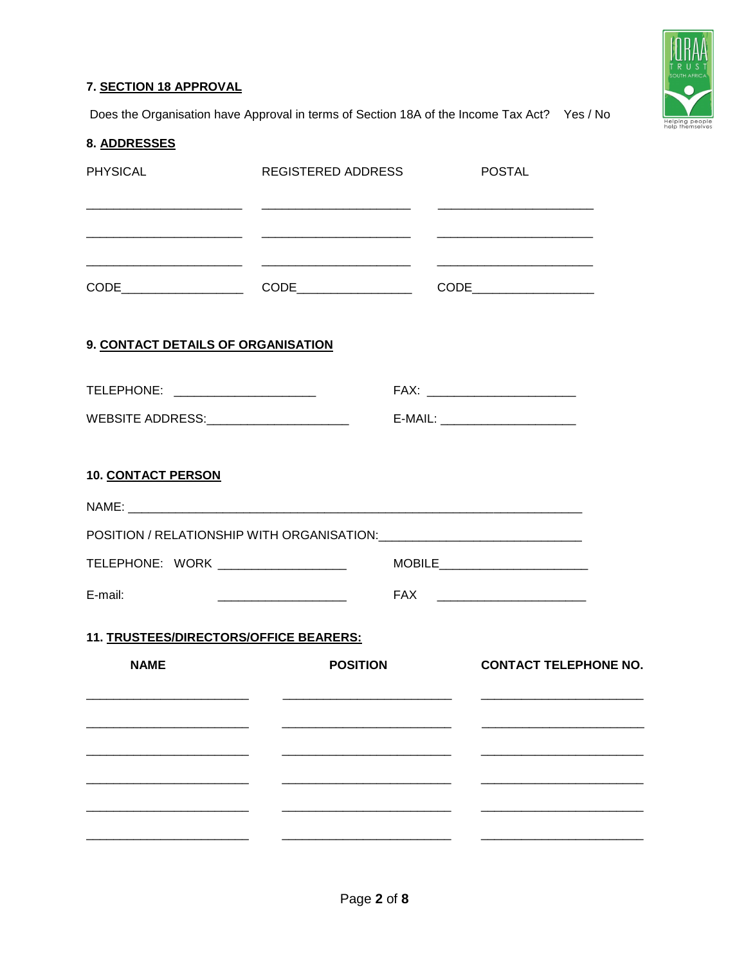## 7. SECTION 18 APPROVAL



Does the Organisation have Approval in terms of Section 18A of the Income Tax Act? Yes / No

| 8. ADDRESSES                           |                 |                                                                                                                                                   |
|----------------------------------------|-----------------|---------------------------------------------------------------------------------------------------------------------------------------------------|
| <b>PHYSICAL</b>                        |                 | REGISTERED ADDRESS POSTAL<br><u> 2000 - Jan James James (f. 1980).</u> 1992 - 1992 - 1992 - 1993 - 1994 - 1994 - 1994 - 1994 - 1994 - 1995 - 1996 |
|                                        |                 |                                                                                                                                                   |
|                                        |                 |                                                                                                                                                   |
| 9. CONTACT DETAILS OF ORGANISATION     |                 |                                                                                                                                                   |
| TELEPHONE: _______________________     |                 | FAX: _________________________                                                                                                                    |
|                                        |                 |                                                                                                                                                   |
| <b>10. CONTACT PERSON</b>              |                 |                                                                                                                                                   |
|                                        |                 |                                                                                                                                                   |
|                                        |                 |                                                                                                                                                   |
|                                        |                 |                                                                                                                                                   |
| E-mail:                                |                 |                                                                                                                                                   |
| 11. TRUSTEES/DIRECTORS/OFFICE BEARERS: |                 |                                                                                                                                                   |
| <b>NAME</b>                            | <b>POSITION</b> | <b>CONTACT TELEPHONE NO.</b>                                                                                                                      |
|                                        |                 |                                                                                                                                                   |
|                                        |                 |                                                                                                                                                   |
|                                        |                 |                                                                                                                                                   |
|                                        |                 |                                                                                                                                                   |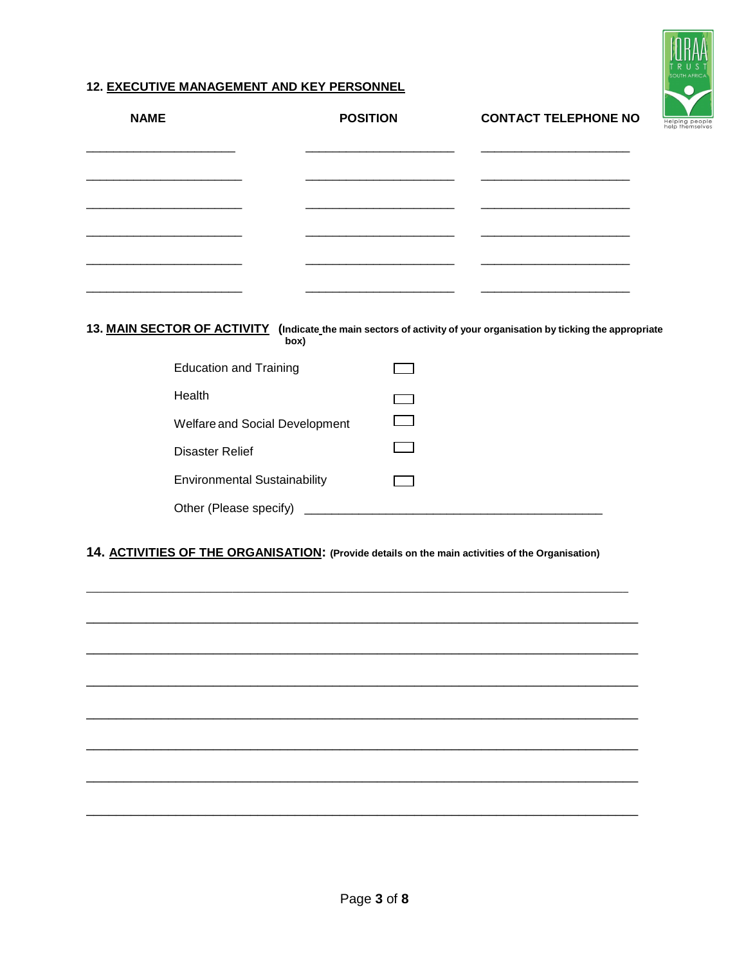## **12. EXECUTIVE MANAGEMENT AND KEY PERSONNEL**

| <b>NAME</b>                   | <b>POSITION</b>                     | <b>CONTACT TELEPHONE NO</b>                                                                                        |
|-------------------------------|-------------------------------------|--------------------------------------------------------------------------------------------------------------------|
|                               |                                     |                                                                                                                    |
|                               |                                     |                                                                                                                    |
|                               |                                     |                                                                                                                    |
|                               |                                     |                                                                                                                    |
|                               |                                     |                                                                                                                    |
|                               | box)                                | 13. MAIN SECTOR OF ACTIVITY (Indicate the main sectors of activity of your organisation by ticking the appropriate |
| <b>Education and Training</b> |                                     |                                                                                                                    |
| Health                        |                                     |                                                                                                                    |
|                               | Welfare and Social Development      |                                                                                                                    |
| <b>Disaster Relief</b>        |                                     |                                                                                                                    |
|                               | <b>Environmental Sustainability</b> |                                                                                                                    |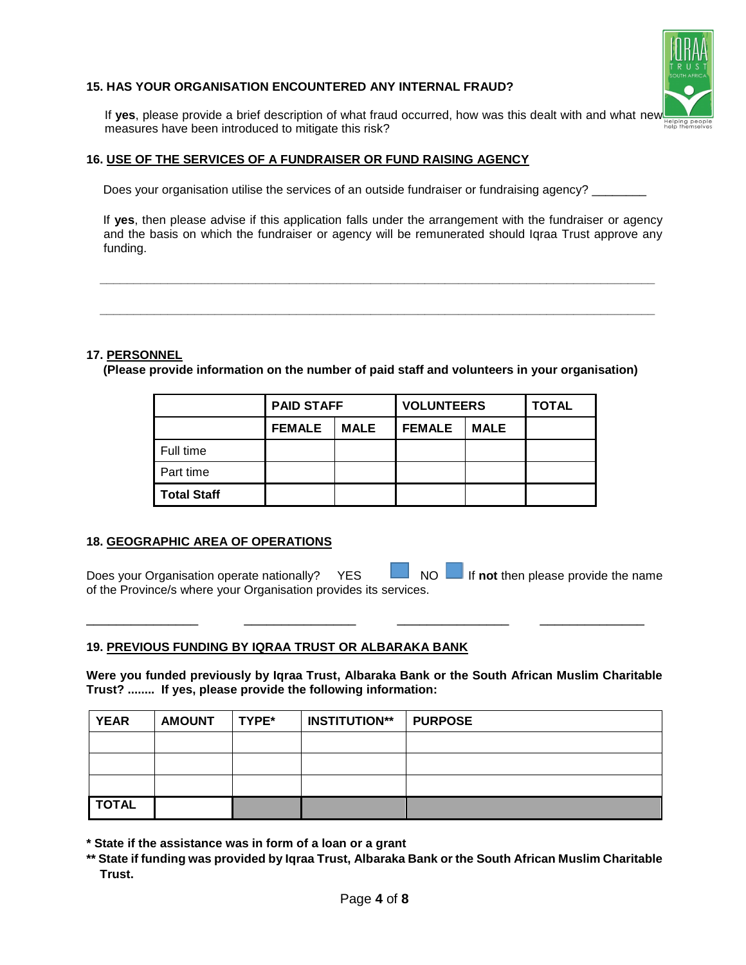#### **15. HAS YOUR ORGANISATION ENCOUNTERED ANY INTERNAL FRAUD?**



If **yes**, please provide a brief description of what fraud occurred, how was this dealt with and what new measures have been introduced to mitigate this risk?

#### **16. USE OF THE SERVICES OF A FUNDRAISER OR FUND RAISING AGENCY**

Does your organisation utilise the services of an outside fundraiser or fundraising agency?

 If **yes**, then please advise if this application falls under the arrangement with the fundraiser or agency and the basis on which the fundraiser or agency will be remunerated should Iqraa Trust approve any funding.

#### **17. PERSONNEL**

 **(Please provide information on the number of paid staff and volunteers in your organisation)**

 **\_\_\_\_\_\_\_\_\_\_\_\_\_\_\_\_\_\_\_\_\_\_\_\_\_\_\_\_\_\_\_\_\_\_\_\_\_\_\_\_\_\_\_\_\_\_\_\_\_\_\_\_\_\_\_\_\_\_\_\_\_\_\_\_\_\_\_\_\_\_\_\_\_\_\_\_\_\_\_\_\_\_**

 **\_\_\_\_\_\_\_\_\_\_\_\_\_\_\_\_\_\_\_\_\_\_\_\_\_\_\_\_\_\_\_\_\_\_\_\_\_\_\_\_\_\_\_\_\_\_\_\_\_\_\_\_\_\_\_\_\_\_\_\_\_\_\_\_\_\_\_\_\_\_\_\_\_\_\_\_\_\_\_\_\_\_**

|                    | <b>PAID STAFF</b> |             | <b>VOLUNTEERS</b> |             | <b>TOTAL</b> |
|--------------------|-------------------|-------------|-------------------|-------------|--------------|
|                    | <b>FEMALE</b>     | <b>MALE</b> | <b>FEMALE</b>     | <b>MALE</b> |              |
| Full time          |                   |             |                   |             |              |
| Part time          |                   |             |                   |             |              |
| <b>Total Staff</b> |                   |             |                   |             |              |

#### **18. GEOGRAPHIC AREA OF OPERATIONS**

Does your Organisation operate nationally? YES NO IF not then please provide the name of the Province/s where your Organisation provides its services.

\_\_\_\_\_\_\_\_\_\_\_\_\_\_\_ \_\_\_\_\_\_\_\_\_\_\_\_\_\_\_ \_\_\_\_\_\_\_\_\_\_\_\_\_\_\_ \_\_\_\_\_\_\_\_\_\_\_\_\_\_

#### **19. PREVIOUS FUNDING BY IQRAA TRUST OR ALBARAKA BANK**

**Were you funded previously by Iqraa Trust, Albaraka Bank or the South African Muslim Charitable Trust? ........ If yes, please provide the following information:**

| <b>YEAR</b>  | <b>AMOUNT</b> | <b>TYPE*</b> | <b>INSTITUTION**</b> | <b>PURPOSE</b> |
|--------------|---------------|--------------|----------------------|----------------|
|              |               |              |                      |                |
|              |               |              |                      |                |
|              |               |              |                      |                |
| <b>TOTAL</b> |               |              |                      |                |

**\* State if the assistance was in form of a loan or a grant**

**\*\* State if funding was provided by Iqraa Trust, Albaraka Bank or the South African Muslim Charitable Trust.**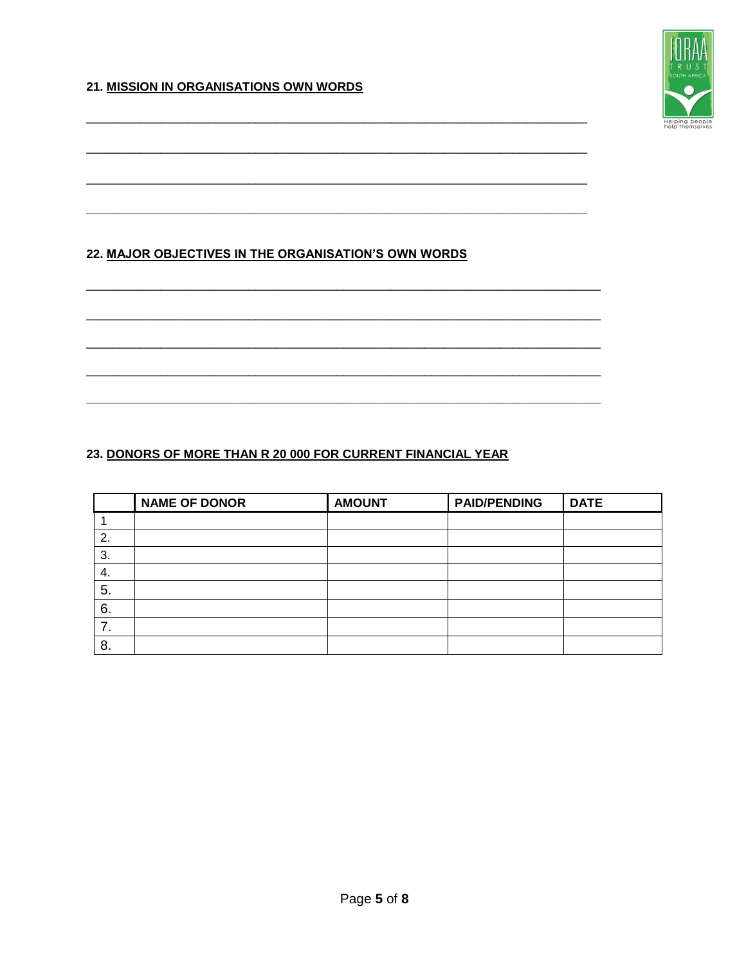## 21. MISSION IN ORGANISATIONS OWN WORDS



## 22. MAJOR OBJECTIVES IN THE ORGANISATION'S OWN WORDS

## 23. DONORS OF MORE THAN R 20 000 FOR CURRENT FINANCIAL YEAR

|    | <b>NAME OF DONOR</b> | <b>AMOUNT</b> | <b>PAID/PENDING</b> | <b>DATE</b> |
|----|----------------------|---------------|---------------------|-------------|
|    |                      |               |                     |             |
| 2. |                      |               |                     |             |
| 3. |                      |               |                     |             |
| 4. |                      |               |                     |             |
| 5. |                      |               |                     |             |
| 6. |                      |               |                     |             |
|    |                      |               |                     |             |
| 8. |                      |               |                     |             |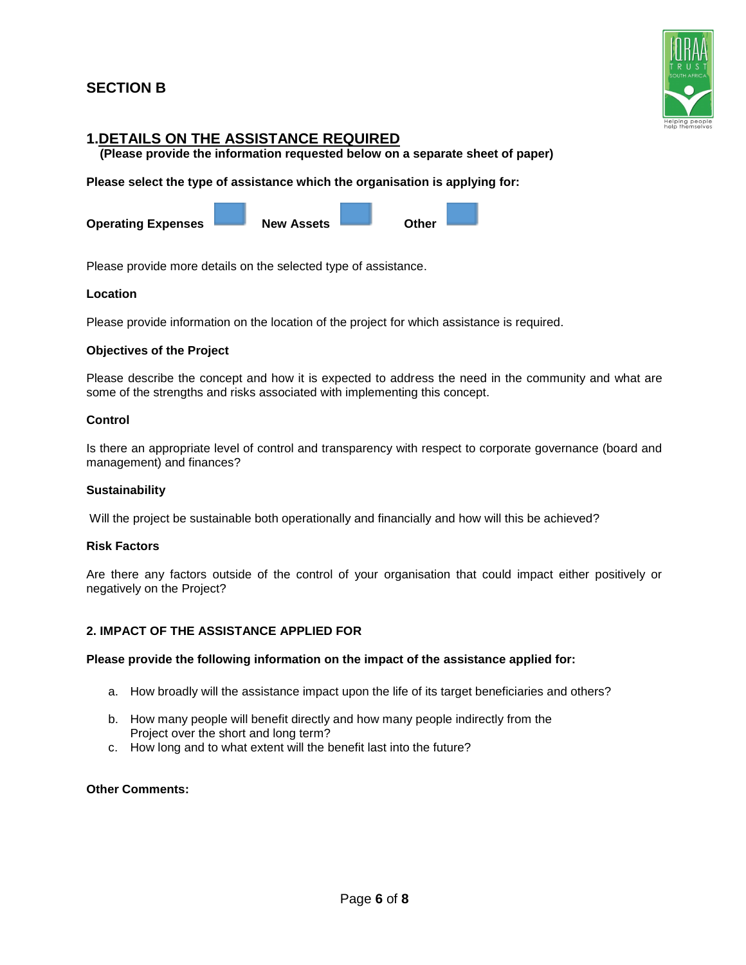## **SECTION B**



## **1.DETAILS ON THE ASSISTANCE REQUIRED**

 **(Please provide the information requested below on a separate sheet of paper)**

**Please select the type of assistance which the organisation is applying for:** 

**Operating Expenses New Assets Contract Other** 

Please provide more details on the selected type of assistance.

#### **Location**

Please provide information on the location of the project for which assistance is required.

#### **Objectives of the Project**

Please describe the concept and how it is expected to address the need in the community and what are some of the strengths and risks associated with implementing this concept.

#### **Control**

Is there an appropriate level of control and transparency with respect to corporate governance (board and management) and finances?

#### **Sustainability**

Will the project be sustainable both operationally and financially and how will this be achieved?

#### **Risk Factors**

Are there any factors outside of the control of your organisation that could impact either positively or negatively on the Project?

#### **2. IMPACT OF THE ASSISTANCE APPLIED FOR**

#### **Please provide the following information on the impact of the assistance applied for:**

- a. How broadly will the assistance impact upon the life of its target beneficiaries and others?
- b. How many people will benefit directly and how many people indirectly from the Project over the short and long term?
- c. How long and to what extent will the benefit last into the future?

#### **Other Comments:**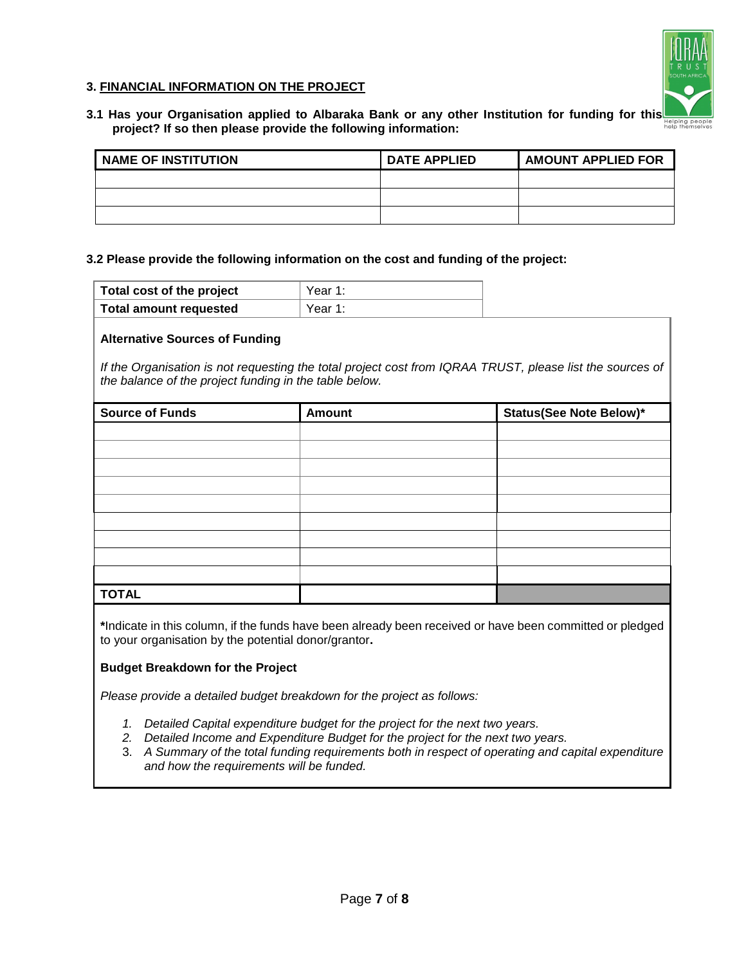### **3. FINANCIAL INFORMATION ON THE PROJECT**



**3.1 Has your Organisation applied to Albaraka Bank or any other Institution for funding for this project? If so then please provide the following information:**

| NAME OF INSTITUTION | <b>DATE APPLIED</b> | AMOUNT APPLIED FOR |
|---------------------|---------------------|--------------------|
|                     |                     |                    |
|                     |                     |                    |
|                     |                     |                    |

#### **3.2 Please provide the following information on the cost and funding of the project:**

| Total cost of the project     | Year 1: |
|-------------------------------|---------|
| <b>Total amount requested</b> | Year 1: |

#### **Alternative Sources of Funding**

*If the Organisation is not requesting the total project cost from IQRAA TRUST, please list the sources of the balance of the project funding in the table below.*

| <b>Source of Funds</b> | <b>Amount</b> | <b>Status(See Note Below)*</b> |
|------------------------|---------------|--------------------------------|
|                        |               |                                |
|                        |               |                                |
|                        |               |                                |
|                        |               |                                |
|                        |               |                                |
|                        |               |                                |
|                        |               |                                |
|                        |               |                                |
|                        |               |                                |
| <b>TOTAL</b>           |               |                                |

**\***Indicate in this column, if the funds have been already been received or have been committed or pledged to your organisation by the potential donor/grantor**.**

#### **Budget Breakdown for the Project**

*Please provide a detailed budget breakdown for the project as follows:*

- *1. Detailed Capital expenditure budget for the project for the next two years.*
- *2. Detailed Income and Expenditure Budget for the project for the next two years.*
- 3. *A Summary of the total funding requirements both in respect of operating and capital expenditure and how the requirements will be funded.*